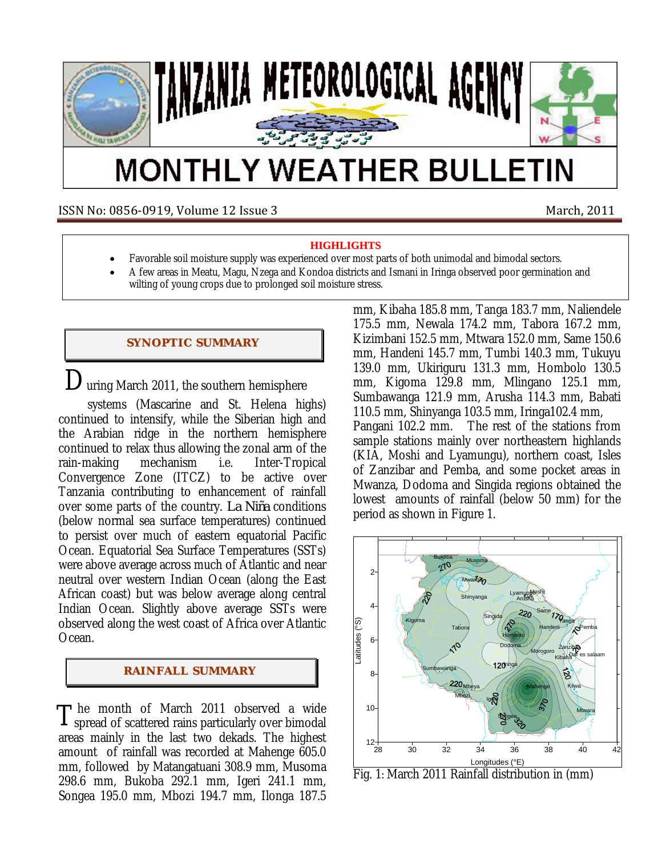

# **MONTHLY WEATHER BULLETIN**

ISSN No: 0856‐0919, Volume 12 Issue 3 March, 2011

**HIGHLIGHTS**

- Favorable soil moisture supply was experienced over most parts of both unimodal and bimodal sectors.
- A few areas in Meatu, Magu, Nzega and Kondoa districts and Ismani in Iringa observed poor germination and
	- wilting of young crops due to prolonged soil moisture stress.

### **SYNOPTIC SUMMARY**

 $\mathbf{D}_{\text{uring March 2011, the southern hemisphere}}$ 

 systems (Mascarine and St. Helena highs) continued to intensify, while the Siberian high and the Arabian ridge in the northern hemisphere continued to relax thus allowing the zonal arm of the rain-making mechanism i.e. Inter-Tropical Convergence Zone (ITCZ) to be active over Tanzania contributing to enhancement of rainfall over some parts of the country. *La Niña* conditions (below normal sea surface temperatures) continued to persist over much of eastern equatorial Pacific Ocean. Equatorial Sea Surface Temperatures (SSTs) were above average across much of Atlantic and near neutral over western Indian Ocean (along the East African coast) but was below average along central Indian Ocean. Slightly above average SSTs were observed along the west coast of Africa over Atlantic Ocean.

## **RAI NFALL SUMMARY**

he month of March 2011 observed a wide The month of March 2011 observed a wide<br>I spread of scattered rains particularly over bimodal areas mainly in the last two dekads. The highest amount of rainfall was recorded at Mahenge 605.0 mm, followed by Matangatuani 308.9 mm, Musoma 298.6 mm, Bukoba 292.1 mm, Igeri 241.1 mm, Songea 195.0 mm, Mbozi 194.7 mm, Ilonga 187.5

mm, Kibaha 185.8 mm, Tanga 183.7 mm, Naliendele 175.5 mm, Newala 174.2 mm, Tabora 167.2 mm, Kizimbani 152.5 mm, Mtwara 152.0 mm, Same 150.6 mm, Handeni 145.7 mm, Tumbi 140.3 mm, Tukuyu 139.0 mm, Ukiriguru 131.3 mm, Hombolo 130.5 mm, Kigoma 129.8 mm, Mlingano 125.1 mm, Sumbawanga 121.9 mm, Arusha 114.3 mm, Babati 110.5 mm, Shinyanga 103.5 mm, Iringa102.4 mm, Pangani 102.2 mm. The rest of the stations from sample stations mainly over northeastern highlands (KIA, Moshi and Lyamungu), northern coast, Isles of Zanzibar and Pemba, and some pocket areas in Mwanza, Dodoma and Singida regions obtained the lowest amounts of rainfall (below 50 mm) for the period as shown in Figure 1.



Fig. 1: March 2011 Rainfall distribution in (mm)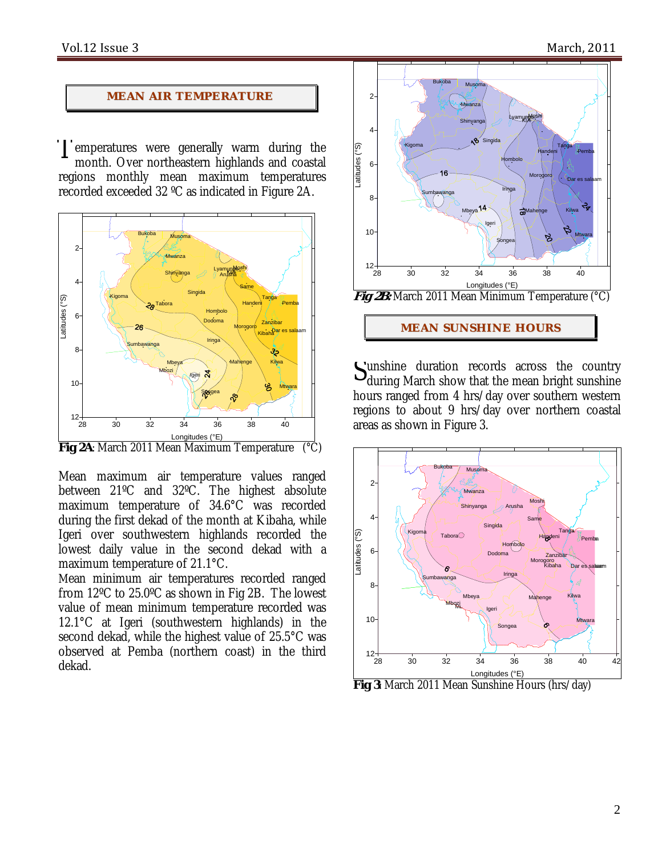#### **MEAN AIR TEMPERATURE**

I emperatures were genera*l*ly warm during the<br>month Over northeastern highlands and coastal month. Over northeastern highlands and coastal regions monthly mean maximum temperatures recorded exceeded 32 ºC as indicated in Figure 2A.



**Fig 2A**: March 2011 Mean Maximum Temperature (°C)

Mean maximum air temperature values ranged between 21ºC and 32ºC. The highest absolute maximum temperature of 34.6°C was recorded during the first dekad of the month at Kibaha, while Igeri over southwestern highlands recorded the lowest daily value in the second dekad with a maximum temperature of 21.1°C.

Mean minimum air temperatures recorded ranged from 12ºC to 25.0ºC as shown in Fig 2B. The lowest value of mean minimum temperature recorded was 12.1°C at Igeri (southwestern highlands) in the second dekad, while the highest value of 25.5°C was observed at Pemba (northern coast) in the third dekad.



**MEAN SUNSHINE HOURS** 

unshine duration records across the country Sunshine duration records across the country during March show that the mean bright sunshine hours ranged from 4 hrs/day over southern western regions to about 9 hrs/day over northern coastal areas as shown in Figure 3.



**Fig 3**: March 2011 Mean Sunshine Hours (hrs/day)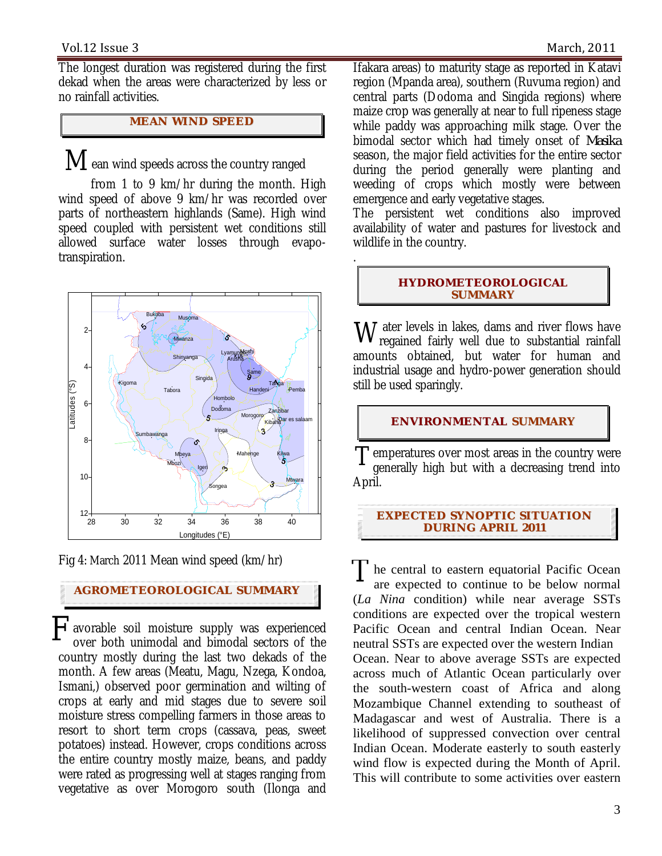The longest duration was registered during the first dekad when the areas were characterized by less or no rainfall activities.

## **MEAN WI ND SPEED**

 $\mathbf M$  ean wind speeds across the country ranged

 from 1 to 9 km/hr during the month. High wind speed of above 9 km/hr was recorded over parts of northeastern highlands (Same). High wind speed coupled with persistent wet conditions still allowed surface water losses through evapotranspiration.



Fig 4: March 2011 Mean wind speed (km/hr)

#### **AGROMETEOROLOGICAL SUMMARY**

 $F$  avorable soil moisture supply was experienced over both unimodal and bimodal sectors of the over both unimodal and bimodal sectors of the country mostly during the last two dekads of the month. A few areas (Meatu, Magu, Nzega, Kondoa, Ismani,) observed poor germination and wilting of crops at early and mid stages due to severe soil moisture stress compelling farmers in those areas to resort to short term crops (cassava, peas, sweet potatoes) instead. However, crops conditions across the entire country mostly maize, beans, and paddy were rated as progressing well at stages ranging from vegetative as over Morogoro south (Ilonga and

Ifakara areas) to maturity stage as reported in Katavi region (Mpanda area), southern (Ruvuma region) and central parts (Dodoma and Singida regions) where maize crop was generally at near to full ripeness stage while paddy was approaching milk stage. Over the bimodal sector which had timely onset of *Masika* season, the major field activities for the entire sector during the period generally were planting and weeding of crops which mostly were between emergence and early vegetative stages.

The persistent wet conditions also improved availability of water and pastures for livestock and wildlife in the country.

#### **HYDROMETEOROLOGICAL SUMMARY**

.

 $\rm W$  ater levels in lakes, dams and river flows have regained fairly well due to substantial rainfall regained fairly well due to substantial rainfall amounts obtained, but water for human and industrial usage and hydro-power generation should still be used sparingly.

#### **ENVIRONMENTAL SUMMARY**

 $T_{\text{generally high but with a decreasing trend into}}$ generally high but with a decreasing trend into April.

#### **EXPECTED SYNOPTIC SITUATION DURI NG APRIL 2011**

The central to eastern equatorial Pacific Ocean<br>are expected to continue to be below normal are expected to continue to be below normal (*La Nina* condition) while near average SSTs conditions are expected over the tropical western Pacific Ocean and central Indian Ocean. Near neutral SSTs are expected over the western Indian Ocean. Near to above average SSTs are expected across much of Atlantic Ocean particularly over the south-western coast of Africa and along Mozambique Channel extending to southeast of Madagascar and west of Australia. There is a likelihood of suppressed convection over central Indian Ocean. Moderate easterly to south easterly wind flow is expected during the Month of April. This will contribute to some activities over eastern